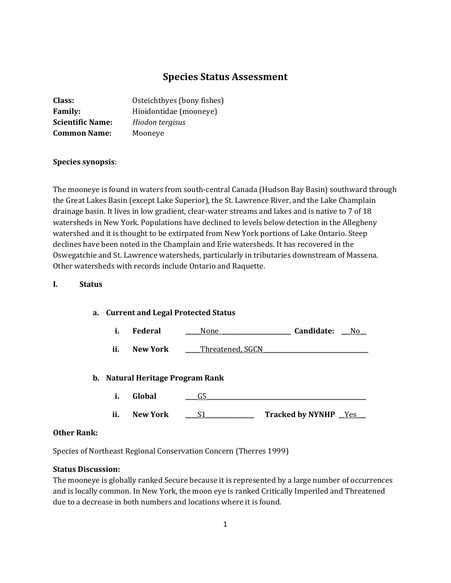# **Species Status Assessment**

| Class:                  | Osteichthyes (bony fishes) |
|-------------------------|----------------------------|
| <b>Family:</b>          | Hioidontidae (mooneye)     |
| <b>Scientific Name:</b> | Hiodon tergisus            |
| <b>Common Name:</b>     | Mooneye                    |

### **Species synopsis**:

The mooneye is found in waters from south-central Canada (Hudson Bay Basin) southward through the Great Lakes Basin (except Lake Superior), the St. Lawrence River, and the Lake Champlain drainage basin. It lives in low gradient, clear-water streams and lakes and is native to 7 of 18 watersheds in New York. Populations have declined to levels below detection in the Allegheny watershed and it is thought to be extirpated from New York portions of Lake Ontario. Steep declines have been noted in the Champlain and Erie watersheds. It has recovered in the Oswegatchie and St. Lawrence watersheds, particularly in tributaries downstream of Massena. Other watersheds with records include Ontario and Raquette.

## **I. Status**

#### **a. Current and Legal Protected Status**

|  | Federal |  | Candidate: |  |
|--|---------|--|------------|--|
|--|---------|--|------------|--|

**ii. New York** \_\_\_\_Threatened, SGCN

## **b. Natural Heritage Program Rank**

- **i. Global \_\_\_\_**G5**\_\_\_\_\_\_\_\_\_\_\_\_\_\_\_\_\_\_\_\_\_\_\_\_\_\_\_\_\_\_\_\_\_\_\_\_\_\_\_\_\_\_\_\_\_\_\_\_\_\_\_\_\_**
- **ii. New York** <u>**\_\_\_\_S1\_\_\_\_\_\_\_\_\_\_\_\_\_</u> Tracked by NYNHP \_\_Yes\_\_</u>**

#### **Other Rank:**

Species of Northeast Regional Conservation Concern (Therres 1999)

## **Status Discussion:**

The mooneye is globally ranked Secure because it is represented by a large number of occurrences and is locally common. In New York, the moon eye is ranked Critically Imperiled and Threatened due to a decrease in both numbers and locations where it is found.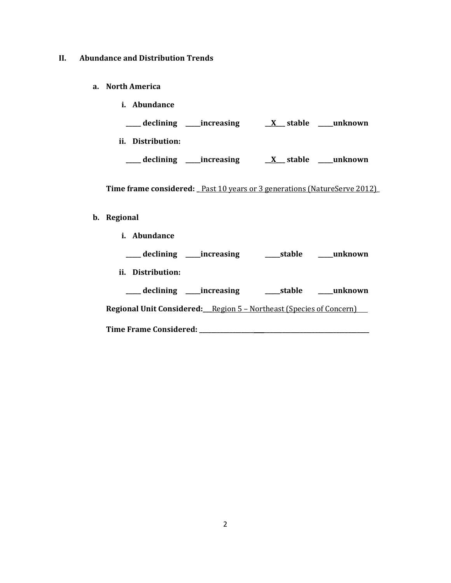## **II. Abundance and Distribution Trends**

- **a. North America**
	- **i. Abundance \_\_\_\_\_ declining \_\_\_\_\_increasing \_\_X\_\_\_ stable \_\_\_\_\_unknown ii. Distribution: \_\_\_\_\_ declining \_\_\_\_\_increasing \_\_X\_\_\_ stable \_\_\_\_\_unknown**

Time frame considered: \_Past 10 years or 3 generations (NatureServe 2012)\_

#### **b. Regional**

**i. Abundance**

| ___ declining ____increasing                                               | ____stable | unknown  |
|----------------------------------------------------------------------------|------------|----------|
| ii. Distribution:                                                          |            |          |
| declining increasing                                                       | stable     | _unknown |
| <b>Regional Unit Considered:</b> Region 5 – Northeast (Species of Concern) |            |          |
| <b>Time Frame Considered:</b>                                              |            |          |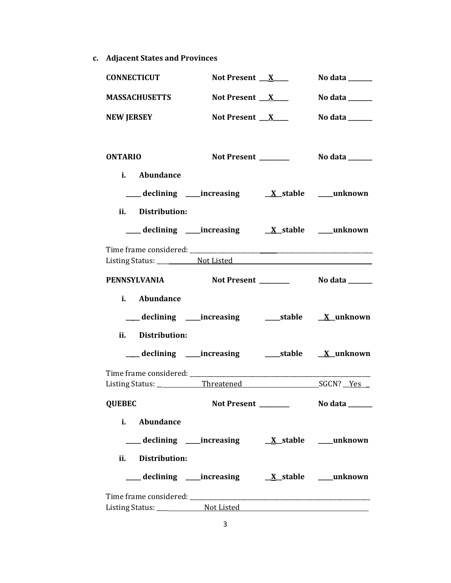**c. Adjacent States and Provinces**

| <b>CONNECTICUT</b>                                        | Not Present $X$                                         | No data $\_\_\_\_\_\_\_\_\_\_\_\$ |
|-----------------------------------------------------------|---------------------------------------------------------|-----------------------------------|
| <b>MASSACHUSETTS</b>                                      | Not Present $X$                                         | No data $\_\_\_\_\_\_\_\_\_\_\_\$ |
| <b>NEW JERSEY</b>                                         | Not Present $X$                                         | No data ______                    |
| <b>ONTARIO</b>                                            |                                                         |                                   |
| i. Abundance                                              |                                                         |                                   |
|                                                           |                                                         |                                   |
| ii. Distribution:                                         |                                                         |                                   |
|                                                           |                                                         |                                   |
|                                                           |                                                         |                                   |
|                                                           |                                                         |                                   |
| <b>PENNSYLVANIA</b>                                       |                                                         |                                   |
| i. Abundance                                              |                                                         |                                   |
|                                                           | ___ declining ____increasing ______stable ____X_unknown |                                   |
| ii. Distribution:                                         |                                                         |                                   |
| ___ declining ____ increasing ______ stable ___ X_unknown |                                                         |                                   |
|                                                           |                                                         |                                   |
|                                                           |                                                         |                                   |
| <b>QUEBEC</b>                                             |                                                         |                                   |
| i.<br><b>Abundance</b>                                    |                                                         |                                   |
|                                                           |                                                         |                                   |
| ii. Distribution:                                         |                                                         |                                   |
|                                                           |                                                         |                                   |
|                                                           |                                                         |                                   |
|                                                           |                                                         |                                   |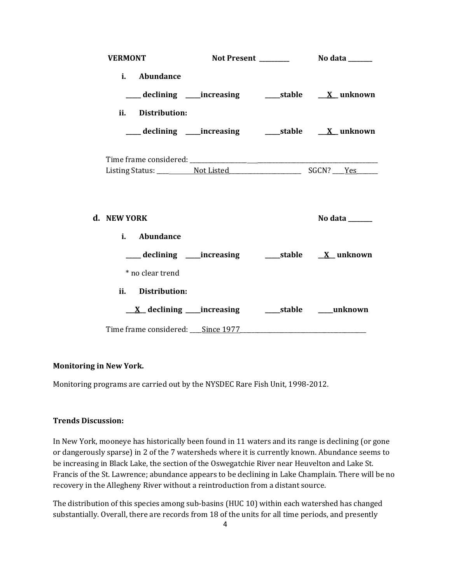| <b>VERMONT</b>                    |                                                          |                                                                   |
|-----------------------------------|----------------------------------------------------------|-------------------------------------------------------------------|
| i. Abundance                      |                                                          |                                                                   |
|                                   |                                                          | ___declining ___increasing    ____stable    _ <u>X</u> _unknown   |
| ii. Distribution:                 |                                                          |                                                                   |
|                                   |                                                          | ___ declining ____increasing _______stable ____ <u>X</u> _unknown |
|                                   |                                                          |                                                                   |
|                                   |                                                          |                                                                   |
| d. NEW YORK                       |                                                          | No data ______                                                    |
| i. Abundance                      |                                                          |                                                                   |
|                                   | ___ declining ____increasing ______stable ___ X__unknown |                                                                   |
| * no clear trend                  |                                                          |                                                                   |
| ii. Distribution:                 |                                                          |                                                                   |
|                                   |                                                          |                                                                   |
| Time frame considered: Since 1977 |                                                          |                                                                   |

## **Monitoring in New York.**

Monitoring programs are carried out by the NYSDEC Rare Fish Unit, 1998-2012.

## **Trends Discussion:**

In New York, mooneye has historically been found in 11 waters and its range is declining (or gone or dangerously sparse) in 2 of the 7 watersheds where it is currently known. Abundance seems to be increasing in Black Lake, the section of the Oswegatchie River near Heuvelton and Lake St. Francis of the St. Lawrence; abundance appears to be declining in Lake Champlain. There will be no recovery in the Allegheny River without a reintroduction from a distant source.

The distribution of this species among sub-basins (HUC 10) within each watershed has changed substantially. Overall, there are records from 18 of the units for all time periods, and presently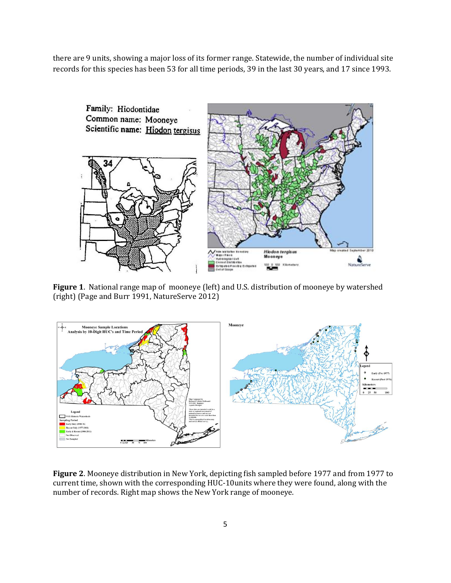there are 9 units, showing a major loss of its former range. Statewide, the number of individual site records for this species has been 53 for all time periods, 39 in the last 30 years, and 17 since 1993.



**Figure 1**. National range map of mooneye (left) and U.S. distribution of mooneye by watershed (right) (Page and Burr 1991, NatureServe 2012)



**Figure 2**. Mooneye distribution in New York, depicting fish sampled before 1977 and from 1977 to current time, shown with the corresponding HUC-10units where they were found, along with the number of records. Right map shows the New York range of mooneye.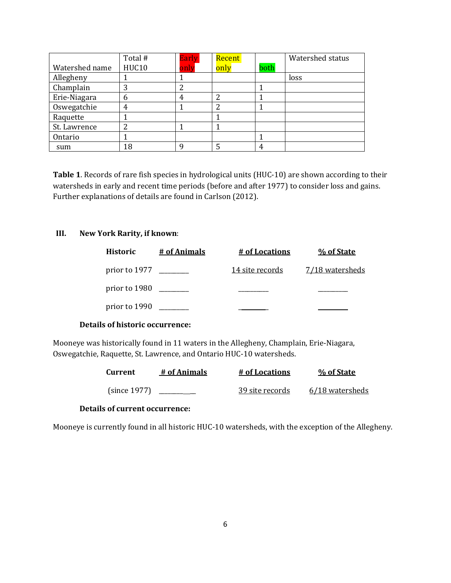|                | Total # | <b>Early</b> | Recent |      | Watershed status |
|----------------|---------|--------------|--------|------|------------------|
| Watershed name | HUC10   | only         | only   | both |                  |
| Allegheny      |         |              |        |      | loss             |
| Champlain      | 3       | າ            |        |      |                  |
| Erie-Niagara   | 6       | 4            |        |      |                  |
| Oswegatchie    | 4       |              | າ      |      |                  |
| Raquette       |         |              |        |      |                  |
| St. Lawrence   | 2       |              |        |      |                  |
| Ontario        |         |              |        |      |                  |
| sum            | 18      | q            |        | 4    |                  |

**Table 1**. Records of rare fish species in hydrological units (HUC-10) are shown according to their watersheds in early and recent time periods (before and after 1977) to consider loss and gains. Further explanations of details are found in Carlson (2012).

## **III. New York Rarity, if known**:

| <b>Historic</b> | # of Animals | <u># of Locations</u>  | % of State      |
|-----------------|--------------|------------------------|-----------------|
| prior to 1977   |              | <u>14 site records</u> | 7/18 watersheds |
| prior to 1980   |              |                        |                 |
| prior to 1990   |              |                        |                 |

## **Details of historic occurrence:**

Mooneye was historically found in 11 waters in the Allegheny, Champlain, Erie-Niagara, Oswegatchie, Raquette, St. Lawrence, and Ontario HUC-10 watersheds.

| <b>Current</b> | # of Animals | # of Locations  | % of State      |
|----------------|--------------|-----------------|-----------------|
| (since 1977)   |              | 39 site records | 6/18 watersheds |

## **Details of current occurrence:**

Mooneye is currently found in all historic HUC-10 watersheds, with the exception of the Allegheny.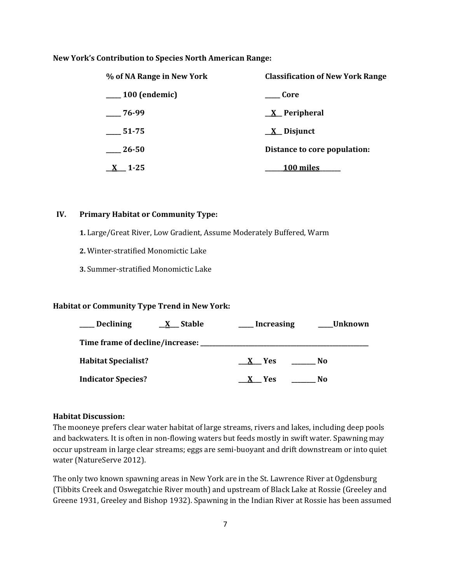#### **New York's Contribution to Species North American Range:**

| % of NA Range in New York | <b>Classification of New York Range</b> |
|---------------------------|-----------------------------------------|
| $\sim$ 100 (endemic)      | Core                                    |
| $-76-99$                  | $X$ Peripheral                          |
| 51-75                     | $\underline{X}$ Disjunct                |
| 26-50                     | Distance to core population:            |
| $1 - 25$                  | 100 miles                               |

#### **IV. Primary Habitat or Community Type:**

**1.** Large/Great River, Low Gradient, Assume Moderately Buffered, Warm

- **2.** Winter-stratified Monomictic Lake
- **3.** Summer-stratified Monomictic Lake

## **Habitat or Community Type Trend in New York:**

| <b>Declining</b>                | <b>Stable</b> | <b>Increasing</b> | Unknown        |  |
|---------------------------------|---------------|-------------------|----------------|--|
| Time frame of decline/increase: |               |                   |                |  |
| <b>Habitat Specialist?</b>      |               | - Yes             | N <sub>0</sub> |  |
| <b>Indicator Species?</b>       |               | <b>Yes</b>        | N <sub>0</sub> |  |

#### **Habitat Discussion:**

The mooneye prefers clear water habitat of large streams, rivers and lakes, including deep pools and backwaters. It is often in non-flowing waters but feeds mostly in swift water. Spawning may occur upstream in large clear streams; eggs are semi-buoyant and drift downstream or into quiet water (NatureServe 2012).

The only two known spawning areas in New York are in the St. Lawrence River at Ogdensburg (Tibbits Creek and Oswegatchie River mouth) and upstream of Black Lake at Rossie (Greeley and Greene 1931, Greeley and Bishop 1932). Spawning in the Indian River at Rossie has been assumed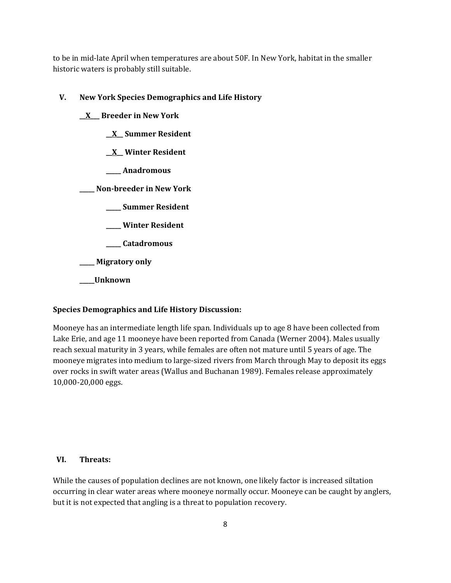to be in mid-late April when temperatures are about 50F. In New York, habitat in the smaller historic waters is probably still suitable.

**V. New York Species Demographics and Life History**

**\_\_X\_\_\_ Breeder in New York \_\_X\_\_ Summer Resident \_\_X\_\_ Winter Resident \_\_\_\_\_ Anadromous \_\_\_\_\_ Non-breeder in New York \_\_\_\_\_ Summer Resident \_\_\_\_\_ Winter Resident \_\_\_\_\_ Catadromous \_\_\_\_\_ Migratory only \_\_\_\_\_Unknown**

# **Species Demographics and Life History Discussion:**

Mooneye has an intermediate length life span. Individuals up to age 8 have been collected from Lake Erie, and age 11 mooneye have been reported from Canada (Werner 2004). Males usually reach sexual maturity in 3 years, while females are often not mature until 5 years of age. The mooneye migrates into medium to large-sized rivers from March through May to deposit its eggs over rocks in swift water areas (Wallus and Buchanan 1989). Females release approximately 10,000-20,000 eggs.

## **VI. Threats:**

While the causes of population declines are not known, one likely factor is increased siltation occurring in clear water areas where mooneye normally occur. Mooneye can be caught by anglers, but it is not expected that angling is a threat to population recovery.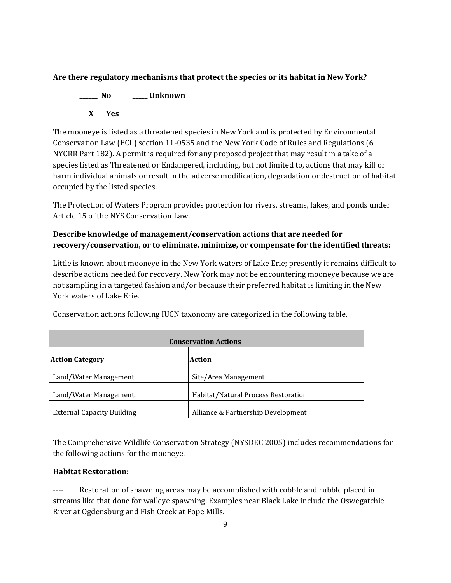# **Are there regulatory mechanisms that protect the species or its habitat in New York?**

**\_\_\_\_\_\_ No \_\_\_\_\_ Unknown \_\_\_X\_\_\_ Yes**

The mooneye is listed as a threatened species in New York and is protected by Environmental Conservation Law (ECL) section 11-0535 and the New York Code of Rules and Regulations (6 NYCRR Part 182). A permit is required for any proposed project that may result in a take of a species listed as Threatened or Endangered, including, but not limited to, actions that may kill or harm individual animals or result in the adverse modification, degradation or destruction of habitat occupied by the listed species.

The Protection of Waters Program provides protection for rivers, streams, lakes, and ponds under Article 15 of the NYS Conservation Law.

# **Describe knowledge of management/conservation actions that are needed for recovery/conservation, or to eliminate, minimize, or compensate for the identified threats:**

Little is known about mooneye in the New York waters of Lake Erie; presently it remains difficult to describe actions needed for recovery. New York may not be encountering mooneye because we are not sampling in a targeted fashion and/or because their preferred habitat is limiting in the New York waters of Lake Erie.

| <b>Conservation Actions</b>       |                                     |  |  |
|-----------------------------------|-------------------------------------|--|--|
| <b>Action Category</b>            | Action                              |  |  |
| Land/Water Management             | Site/Area Management                |  |  |
| Land/Water Management             | Habitat/Natural Process Restoration |  |  |
| <b>External Capacity Building</b> | Alliance & Partnership Development  |  |  |

Conservation actions following IUCN taxonomy are categorized in the following table.

The Comprehensive Wildlife Conservation Strategy (NYSDEC 2005) includes recommendations for the following actions for the mooneye.

# **Habitat Restoration:**

---- Restoration of spawning areas may be accomplished with cobble and rubble placed in streams like that done for walleye spawning. Examples near Black Lake include the Oswegatchie River at Ogdensburg and Fish Creek at Pope Mills.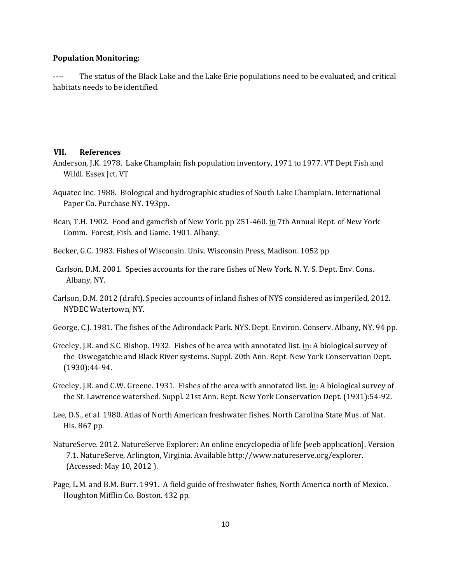#### **Population Monitoring:**

---- The status of the Black Lake and the Lake Erie populations need to be evaluated, and critical habitats needs to be identified.

#### **VII. References**

- Anderson, J.K. 1978. Lake Champlain fish population inventory, 1971 to 1977. VT Dept Fish and Wildl. Essex Jct. VT
- Aquatec Inc. 1988. Biological and hydrographic studies of South Lake Champlain. International Paper Co. Purchase NY. 193pp.
- Bean, T.H. 1902. Food and gamefish of New York. pp 251-460. in 7th Annual Rept. of New York Comm. Forest, Fish. and Game. 1901. Albany.
- Becker, G.C. 1983. Fishes of Wisconsin. Univ. Wisconsin Press, Madison. 1052 pp
- Carlson, D.M. 2001. Species accounts for the rare fishes of New York. N. Y. S. Dept. Env. Cons. Albany, NY.
- Carlson, D.M. 2012 (draft). Species accounts of inland fishes of NYS considered as imperiled, 2012. NYDEC Watertown, NY.
- George, C.J. 1981. The fishes of the Adirondack Park. NYS. Dept. Environ. Conserv. Albany, NY. 94 pp.
- Greeley, J.R. and S.C. Bishop. 1932. Fishes of he area with annotated list. in: A biological survey of the Oswegatchie and Black River systems. Suppl. 20th Ann. Rept. New York Conservation Dept. (1930):44-94.
- Greeley, J.R. and C.W. Greene. 1931. Fishes of the area with annotated list. in: A biological survey of the St. Lawrence watershed. Suppl. 21st Ann. Rept. New York Conservation Dept. (1931):54-92.
- Lee, D.S., et al. 1980. Atlas of North American freshwater fishes. North Carolina State Mus. of Nat. His. 867 pp.
- NatureServe. 2012. NatureServe Explorer: An online encyclopedia of life [web application]. Version 7.1. NatureServe, Arlington, Virginia. Available http://www.natureserve.org/explorer. (Accessed: May 10, 2012 ).
- Page, L.M. and B.M. Burr. 1991. A field guide of freshwater fishes, North America north of Mexico. Houghton Mifflin Co. Boston. 432 pp.